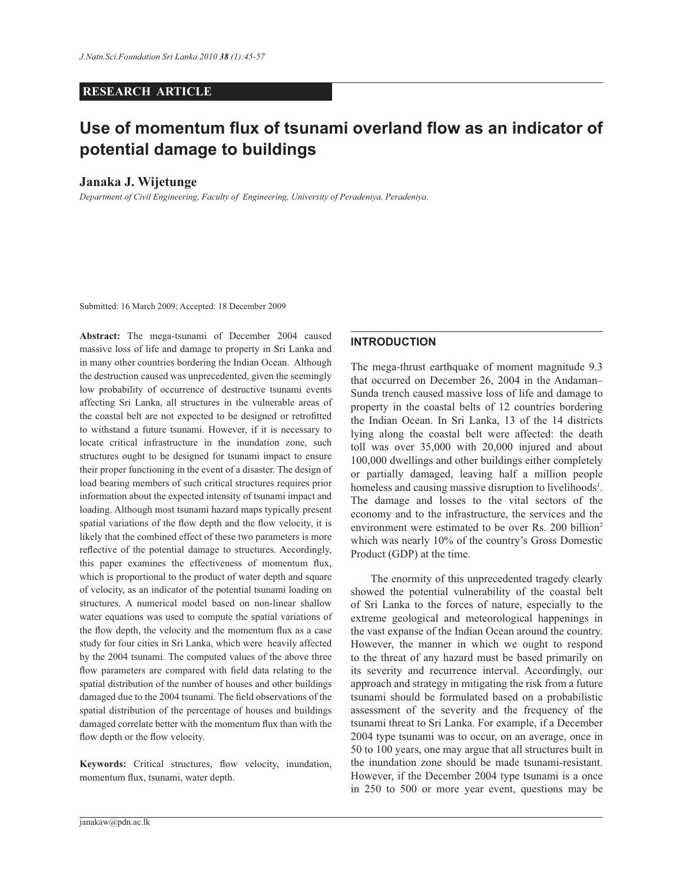# **RESEARCH ARTICLE**

# **Use of momentum flux of tsunami overland flow as an indicator of potential damage to buildings**

# **Janaka J. Wijetunge**

*Department of Civil Engineering, Faculty of Engineering, University of Peradeniya, Peradeniya.*

Submitted: 16 March 2009; Accepted: 18 December 2009

**Abstract:** The mega-tsunami of December 2004 caused massive loss of life and damage to property in Sri Lanka and in many other countries bordering the Indian Ocean. Although the destruction caused was unprecedented, given the seemingly low probability of occurrence of destructive tsunami events affecting Sri Lanka, all structures in the vulnerable areas of the coastal belt are not expected to be designed or retrofitted to withstand a future tsunami. However, if it is necessary to locate critical infrastructure in the inundation zone, such structures ought to be designed for tsunami impact to ensure their proper functioning in the event of a disaster. The design of load bearing members of such critical structures requires prior information about the expected intensity of tsunami impact and loading. Although most tsunami hazard maps typically present spatial variations of the flow depth and the flow velocity, it is likely that the combined effect of these two parameters is more reflective of the potential damage to structures. Accordingly, this paper examines the effectiveness of momentum flux, which is proportional to the product of water depth and square of velocity, as an indicator of the potential tsunami loading on structures. A numerical model based on non-linear shallow water equations was used to compute the spatial variations of the flow depth, the velocity and the momentum flux as a case study for four cities in Sri Lanka, which were heavily affected by the 2004 tsunami. The computed values of the above three flow parameters are compared with field data relating to the spatial distribution of the number of houses and other buildings damaged due to the 2004 tsunami. The field observations of the spatial distribution of the percentage of houses and buildings damaged correlate better with the momentum flux than with the flow depth or the flow velocity.

**Keywords:** Critical structures, flow velocity, inundation, momentum flux, tsunami, water depth.

## **INTRODUCTION**

The mega-thrust earthquake of moment magnitude 9.3 that occurred on December 26, 2004 in the Andaman– Sunda trench caused massive loss of life and damage to property in the coastal belts of 12 countries bordering the Indian Ocean. In Sri Lanka, 13 of the 14 districts lying along the coastal belt were affected: the death toll was over 35,000 with 20,000 injured and about 100,000 dwellings and other buildings either completely or partially damaged, leaving half a million people homeless and causing massive disruption to livelihoods<sup>1</sup>. The damage and losses to the vital sectors of the economy and to the infrastructure, the services and the environment were estimated to be over Rs. 200 billion<sup>2</sup> which was nearly 10% of the country's Gross Domestic Product (GDP) at the time.

 The enormity of this unprecedented tragedy clearly showed the potential vulnerability of the coastal belt of Sri Lanka to the forces of nature, especially to the extreme geological and meteorological happenings in the vast expanse of the Indian Ocean around the country. However, the manner in which we ought to respond to the threat of any hazard must be based primarily on its severity and recurrence interval. Accordingly, our approach and strategy in mitigating the risk from a future tsunami should be formulated based on a probabilistic assessment of the severity and the frequency of the tsunami threat to Sri Lanka. For example, if a December 2004 type tsunami was to occur, on an average, once in 50 to 100 years, one may argue that all structures built in the inundation zone should be made tsunami-resistant. However, if the December 2004 type tsunami is a once in 250 to 500 or more year event, questions may be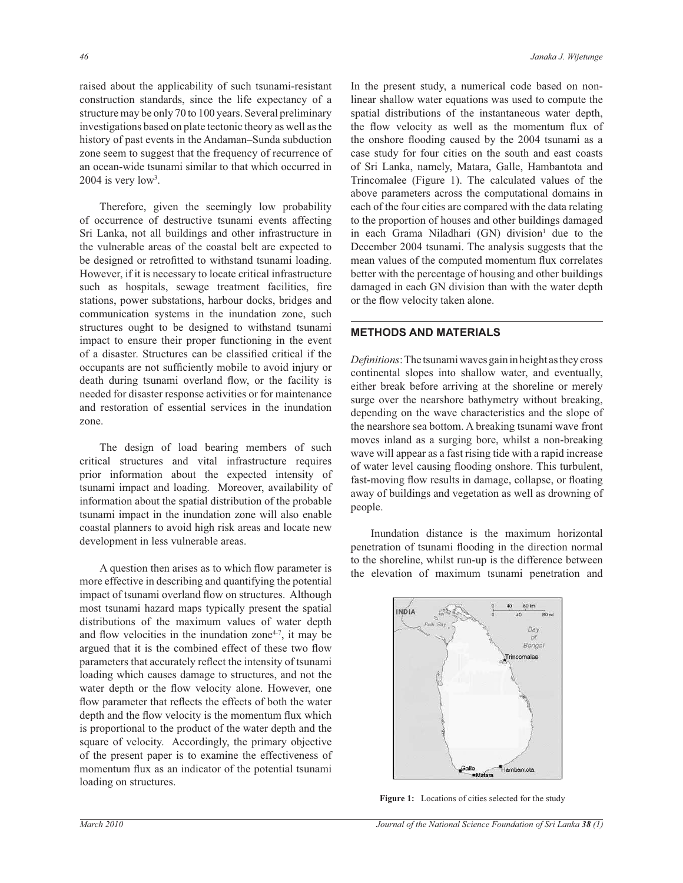raised about the applicability of such tsunami-resistant construction standards, since the life expectancy of a structure may be only 70 to 100 years. Several preliminary investigations based on plate tectonic theory as well as the history of past events in the Andaman–Sunda subduction zone seem to suggest that the frequency of recurrence of an ocean-wide tsunami similar to that which occurred in  $2004$  is very low<sup>3</sup>.

 Therefore, given the seemingly low probability of occurrence of destructive tsunami events affecting Sri Lanka, not all buildings and other infrastructure in the vulnerable areas of the coastal belt are expected to be designed or retrofitted to withstand tsunami loading. However, if it is necessary to locate critical infrastructure such as hospitals, sewage treatment facilities, fire stations, power substations, harbour docks, bridges and communication systems in the inundation zone, such structures ought to be designed to withstand tsunami impact to ensure their proper functioning in the event of a disaster. Structures can be classified critical if the occupants are not sufficiently mobile to avoid injury or death during tsunami overland flow, or the facility is needed for disaster response activities or for maintenance and restoration of essential services in the inundation zone.

 The design of load bearing members of such critical structures and vital infrastructure requires prior information about the expected intensity of tsunami impact and loading. Moreover, availability of information about the spatial distribution of the probable tsunami impact in the inundation zone will also enable coastal planners to avoid high risk areas and locate new development in less vulnerable areas.

 A question then arises as to which flow parameter is more effective in describing and quantifying the potential impact of tsunami overland flow on structures. Although most tsunami hazard maps typically present the spatial distributions of the maximum values of water depth and flow velocities in the inundation zone $4-7$ , it may be argued that it is the combined effect of these two flow parameters that accurately reflect the intensity of tsunami loading which causes damage to structures, and not the water depth or the flow velocity alone. However, one flow parameter that reflects the effects of both the water depth and the flow velocity is the momentum flux which is proportional to the product of the water depth and the square of velocity. Accordingly, the primary objective of the present paper is to examine the effectiveness of momentum flux as an indicator of the potential tsunami loading on structures.

In the present study, a numerical code based on nonlinear shallow water equations was used to compute the spatial distributions of the instantaneous water depth, the flow velocity as well as the momentum flux of the onshore flooding caused by the 2004 tsunami as a case study for four cities on the south and east coasts of Sri Lanka, namely, Matara, Galle, Hambantota and Trincomalee (Figure 1). The calculated values of the above parameters across the computational domains in each of the four cities are compared with the data relating to the proportion of houses and other buildings damaged in each Grama Niladhari (GN) division<sup>1</sup> due to the December 2004 tsunami. The analysis suggests that the mean values of the computed momentum flux correlates better with the percentage of housing and other buildings damaged in each GN division than with the water depth or the flow velocity taken alone.

# **METHODS AND MATERIALS**

*Definitions*:The tsunami waves gain in height as they cross continental slopes into shallow water, and eventually, either break before arriving at the shoreline or merely surge over the nearshore bathymetry without breaking, depending on the wave characteristics and the slope of the nearshore sea bottom. A breaking tsunami wave front moves inland as a surging bore, whilst a non-breaking wave will appear as a fast rising tide with a rapid increase of water level causing flooding onshore. This turbulent, fast-moving flow results in damage, collapse, or floating away of buildings and vegetation as well as drowning of people.

 Inundation distance is the maximum horizontal penetration of tsunami flooding in the direction normal to the shoreline, whilst run-up is the difference between the elevation of maximum tsunami penetration and



Figure 1: Locations of cities selected for the study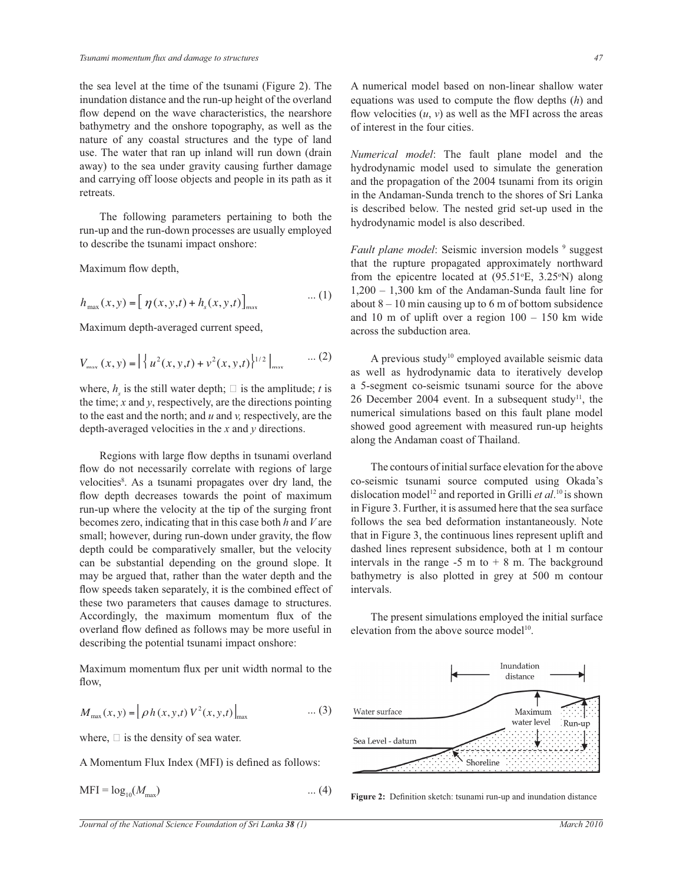the sea level at the time of the tsunami (Figure 2). The inundation distance and the run-up height of the overland flow depend on the wave characteristics, the nearshore bathymetry and the onshore topography, as well as the nature of any coastal structures and the type of land use. The water that ran up inland will run down (drain away) to the sea under gravity causing further damage and carrying off loose objects and people in its path as it retreats.

 The following parameters pertaining to both the run-up and the run-down processes are usually employed to describe the tsunami impact onshore:

Maximum flow depth,

$$
h_{\max}(x, y) = \left[ \eta(x, y, t) + h_{s}(x, y, t) \right]_{\max} \tag{1}
$$

Maximum depth-averaged current speed,

$$
V_{\text{max}}(x, y) = \left| \left\{ u^2(x, y, t) + v^2(x, y, t) \right\}^{1/2} \right|_{\text{max}} \quad \dots (2)
$$

where,  $h_s$  is the still water depth;  $\Box$  is the amplitude; *t* is the time; *x* and *y* respectively are the directions pointing. the time; *x* and *y*, respectively, are the directions pointing to the east and the north; and *u* and *v,* respectively, are the depth-averaged velocities in the *x* and *y* directions.

 Regions with large flow depths in tsunami overland flow do not necessarily correlate with regions of large velocities<sup>8</sup>. As a tsunami propagates over dry land, the flow depth decreases towards the point of maximum run-up where the velocity at the tip of the surging front becomes zero, indicating that in this case both *h* and *V* are small; however, during run-down under gravity, the flow depth could be comparatively smaller, but the velocity can be substantial depending on the ground slope. It may be argued that, rather than the water depth and the flow speeds taken separately, it is the combined effect of these two parameters that causes damage to structures. Accordingly, the maximum momentum flux of the overland flow defined as follows may be more useful in describing the potential tsunami impact onshore:

Maximum momentum flux per unit width normal to the flow,

$$
M_{\max}(x, y) = \left[ \rho h(x, y, t) V^{2}(x, y, t) \right]_{\max} \quad \dots (3)
$$

where,  $\Box$  is the density of sea water.

A Momentum Flux Index (MFI) is defined as follows:

$$
MFI = \log_{10}(M_{\text{max}}) \tag{4}
$$

A numerical model based on non-linear shallow water equations was used to compute the flow depths (*h*) and flow velocities  $(u, v)$  as well as the MFI across the areas of interest in the four cities.

*Numerical model*: The fault plane model and the hydrodynamic model used to simulate the generation and the propagation of the 2004 tsunami from its origin in the Andaman-Sunda trench to the shores of Sri Lanka is described below. The nested grid set-up used in the hydrodynamic model is also described.

Fault plane model: Seismic inversion models <sup>9</sup> suggest that the rupture propagated approximately northward from the epicentre located at  $(95.51\textdegree E, 3.25\textdegree N)$  along 1,200 – 1,300 km of the Andaman-Sunda fault line for about  $8 - 10$  min causing up to 6 m of bottom subsidence and 10 m of uplift over a region  $100 - 150$  km wide across the subduction area.

A previous study<sup>10</sup> employed available seismic data as well as hydrodynamic data to iteratively develop a 5-segment co-seismic tsunami source for the above 26 December 2004 event. In a subsequent study<sup>11</sup>, the numerical simulations based on this fault plane model showed good agreement with measured run-up heights along the Andaman coast of Thailand.

 The contours of initial surface elevation for the above co-seismic tsunami source computed using Okada's dislocation model<sup>12</sup> and reported in Grilli *et al*.<sup>10</sup> is shown in Figure 3. Further, it is assumed here that the sea surface follows the sea bed deformation instantaneously. Note that in Figure 3, the continuous lines represent uplift and dashed lines represent subsidence, both at 1 m contour intervals in the range  $-5$  m to  $+ 8$  m. The background bathymetry is also plotted in grey at 500 m contour intervals.

 The present simulations employed the initial surface elevation from the above source model $10$ .



**Figure 2:** Definition sketch: tsunami run-up and inundation distance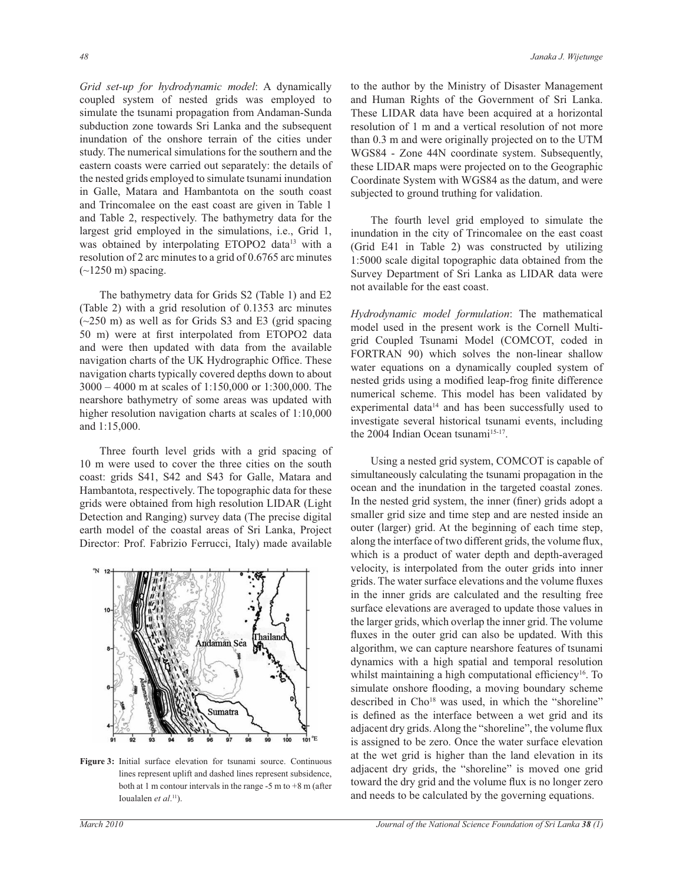*Grid set-up for hydrodynamic model*: A dynamically coupled system of nested grids was employed to simulate the tsunami propagation from Andaman-Sunda subduction zone towards Sri Lanka and the subsequent inundation of the onshore terrain of the cities under study. The numerical simulations for the southern and the eastern coasts were carried out separately: the details of the nested grids employed to simulate tsunami inundation in Galle, Matara and Hambantota on the south coast and Trincomalee on the east coast are given in Table 1 and Table 2, respectively. The bathymetry data for the largest grid employed in the simulations, i.e., Grid 1, was obtained by interpolating ETOPO2 data<sup>13</sup> with a resolution of 2 arc minutes to a grid of 0.6765 arc minutes  $(-1250 \text{ m})$  spacing.

 The bathymetry data for Grids S2 (Table 1) and E2 (Table 2) with a grid resolution of 0.1353 arc minutes  $(-250 \text{ m})$  as well as for Grids S3 and E3 (grid spacing 50 m) were at first interpolated from ETOPO2 data and were then updated with data from the available navigation charts of the UK Hydrographic Office. These navigation charts typically covered depths down to about 3000 – 4000 m at scales of 1:150,000 or 1:300,000. The nearshore bathymetry of some areas was updated with higher resolution navigation charts at scales of 1:10,000 and 1:15,000.

 Three fourth level grids with a grid spacing of 10 m were used to cover the three cities on the south coast: grids S41, S42 and S43 for Galle, Matara and Hambantota, respectively. The topographic data for these grids were obtained from high resolution LIDAR (Light Detection and Ranging) survey data (The precise digital earth model of the coastal areas of Sri Lanka, Project Director: Prof. Fabrizio Ferrucci, Italy) made available



**Figure 3:** Initial surface elevation for tsunami source. Continuous lines represent uplift and dashed lines represent subsidence, both at 1 m contour intervals in the range -5 m to +8 m (after Ioualalen *et al*.<sup>11</sup>).

to the author by the Ministry of Disaster Management and Human Rights of the Government of Sri Lanka. These LIDAR data have been acquired at a horizontal resolution of 1 m and a vertical resolution of not more than 0.3 m and were originally projected on to the UTM WGS84 - Zone 44N coordinate system. Subsequently, these LIDAR maps were projected on to the Geographic Coordinate System with WGS84 as the datum, and were subjected to ground truthing for validation.

 The fourth level grid employed to simulate the inundation in the city of Trincomalee on the east coast (Grid E41 in Table 2) was constructed by utilizing 1:5000 scale digital topographic data obtained from the Survey Department of Sri Lanka as LIDAR data were not available for the east coast.

*Hydrodynamic model formulation*: The mathematical model used in the present work is the Cornell Multigrid Coupled Tsunami Model (COMCOT, coded in FORTRAN 90) which solves the non-linear shallow water equations on a dynamically coupled system of nested grids using a modified leap-frog finite difference numerical scheme. This model has been validated by experimental data<sup>14</sup> and has been successfully used to investigate several historical tsunami events, including the 2004 Indian Ocean tsunami<sup>15-17</sup>.

 Using a nested grid system, COMCOT is capable of simultaneously calculating the tsunami propagation in the ocean and the inundation in the targeted coastal zones. In the nested grid system, the inner (finer) grids adopt a smaller grid size and time step and are nested inside an outer (larger) grid. At the beginning of each time step, along the interface of two different grids, the volume flux, which is a product of water depth and depth-averaged velocity, is interpolated from the outer grids into inner grids. The water surface elevations and the volume fluxes in the inner grids are calculated and the resulting free surface elevations are averaged to update those values in the larger grids, which overlap the inner grid. The volume fluxes in the outer grid can also be updated. With this algorithm, we can capture nearshore features of tsunami dynamics with a high spatial and temporal resolution whilst maintaining a high computational efficiency<sup>16</sup>. To simulate onshore flooding, a moving boundary scheme described in Cho<sup>18</sup> was used, in which the "shoreline" is defined as the interface between a wet grid and its adjacent dry grids. Along the "shoreline", the volume flux is assigned to be zero. Once the water surface elevation at the wet grid is higher than the land elevation in its adjacent dry grids, the "shoreline" is moved one grid toward the dry grid and the volume flux is no longer zero and needs to be calculated by the governing equations.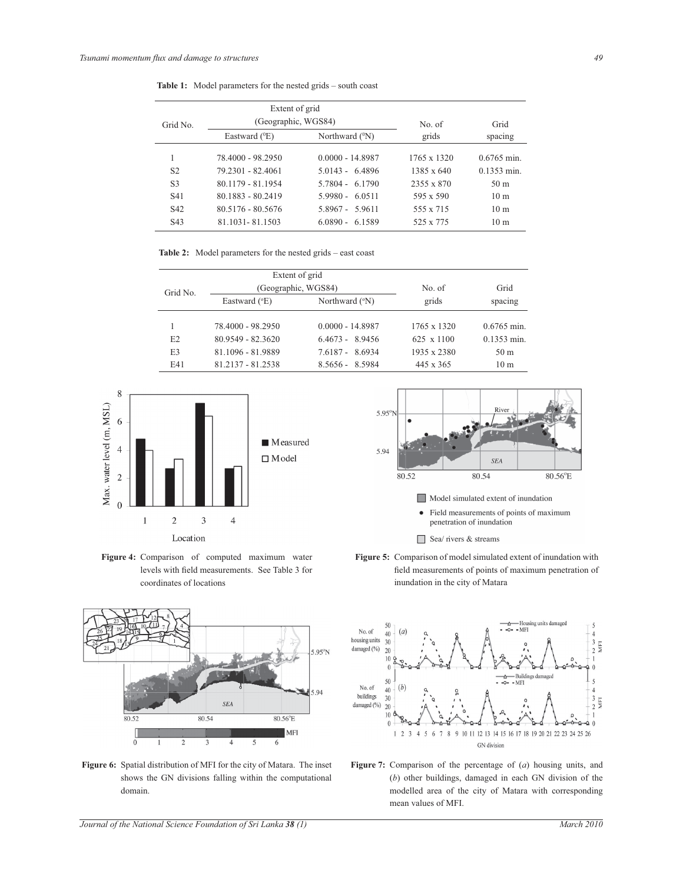|  | <b>Table 1:</b> Model parameters for the nested grids – south coast |  |  |  |  |  |
|--|---------------------------------------------------------------------|--|--|--|--|--|
|--|---------------------------------------------------------------------|--|--|--|--|--|

|                  | Extent of grid      |                     |                   |                      |
|------------------|---------------------|---------------------|-------------------|----------------------|
| Grid No.         | (Geographic, WGS84) |                     | No. of            | Grid                 |
|                  | Eastward $(^{0}E)$  | Northward $(^{0}N)$ | grids             | spacing              |
| 1                | 78.4000 - 98.2950   | $0.0000 - 14.8987$  | 1765 x 1320       | $0.6765$ min.        |
| S <sub>2</sub>   | 79 2301 - 82 4061   | 5 0143 - 64896      | $1385 \times 640$ | $0.1353 \text{ min}$ |
| S <sub>3</sub>   | 80.1179 - 81.1954   | 5.7804 - 6.1790     | 2355 x 870        | 50 <sub>m</sub>      |
| S <sub>41</sub>  | 80.1883 - 80.2419   | $5.9980 - 6.0511$   | 595 x 590         | 10 <sub>m</sub>      |
| S <sub>42</sub>  | 80.5176 - 80.5676   | 5.8967 - 5.9611     | 555 x 715         | 10 <sub>m</sub>      |
| S <sub>4</sub> 3 | 81.1031 - 81.1503   | $6.0890 - 6.1589$   | 525 x 775         | 10 <sub>m</sub>      |

**Table 2:** Model parameters for the nested grids – east coast

|                | Extent of grid         |                         |                   |                 |
|----------------|------------------------|-------------------------|-------------------|-----------------|
| Grid No.       | (Geographic, WGS84)    |                         | No. of            | Grid            |
|                | Eastward $(^{\circ}E)$ | Northward $(^{\circ}N)$ | grids             | spacing         |
|                | 78.4000 - 98.2950      | $0.0000 - 14.8987$      | 1765 x 1320       | $0.6765$ min.   |
| E <sub>2</sub> | 80.9549 - 82.3620      | $6.4673 - 8.9456$       | $625 \times 1100$ | $0.1353$ min.   |
| E <sub>3</sub> | 81.1096 - 81.9889      | 7.6187 - 8.6934         | 1935 x 2380       | 50 <sub>m</sub> |
| <b>E41</b>     | 81.2137 - 81.2538      | $8.5656 - 8.5984$       | $445 \times 365$  | 10 <sub>m</sub> |



**Figure 4:** Comparison of computed maximum water levels with field measurements. See Table 3 for coordinates of locations



**Figure 6:** Spatial distribution of MFI for the city of Matara. The inset shows the GN divisions falling within the computational domain.



- Field measurements of points of maximum penetration of inundation
- $\Box$  Sea/ rivers & streams
- **Figure 5:** Comparison of model simulated extent of inundation with field measurements of points of maximum penetration of inundation in the city of Matara



**Figure 7:** Comparison of the percentage of (*a*) housing units, and (*b*) other buildings, damaged in each GN division of the modelled area of the city of Matara with corresponding mean values of MFI.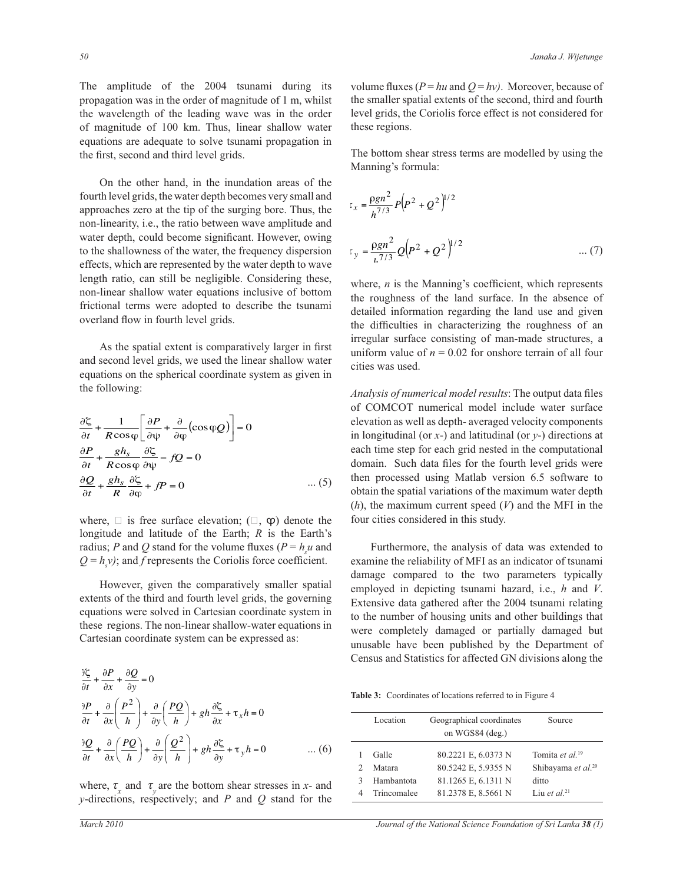The amplitude of the 2004 tsunami during its propagation was in the order of magnitude of 1 m, whilst the wavelength of the leading wave was in the order of magnitude of 100 km. Thus, linear shallow water equations are adequate to solve tsunami propagation in the first, second and third level grids.

 On the other hand, in the inundation areas of the fourth level grids, the water depth becomes very small and approaches zero at the tip of the surging bore. Thus, the non-linearity, i.e., the ratio between wave amplitude and water depth, could become significant. However, owing to the shallowness of the water, the frequency dispersion effects, which are represented by the water depth to wave length ratio, can still be negligible. Considering these, non-linear shallow water equations inclusive of bottom frictional terms were adopted to describe the tsunami overland flow in fourth level grids.

 As the spatial extent is comparatively larger in first and second level grids, we used the linear shallow water equations on the spherical coordinate system as given in the following:

$$
\frac{\partial \zeta}{\partial t} + \frac{1}{R \cos \varphi} \left[ \frac{\partial P}{\partial \psi} + \frac{\partial}{\partial \varphi} (\cos \varphi Q) \right] = 0
$$
  

$$
\frac{\partial P}{\partial t} + \frac{gh_s}{R \cos \varphi} \frac{\partial \zeta}{\partial \psi} - fQ = 0
$$
  

$$
\frac{\partial Q}{\partial t} + \frac{gh_s}{R} \frac{\partial \zeta}{\partial \omega} + fP = 0 \qquad \qquad \dots (5)
$$

where,  $\Box$  is free surface elevation;  $(\Box, \phi)$  denote the longitude and latitude of the Earth; *R* is the Earth's radius; *P* and *Q* stand for the volume fluxes ( $P = h<sub>s</sub>u$  and  $Q = h<sub>s</sub>v$ ); and *f* represents the Coriolis force coefficient.

 However, given the comparatively smaller spatial extents of the third and fourth level grids, the governing equations were solved in Cartesian coordinate system in these regions. The non-linear shallow-water equations in Cartesian coordinate system can be expressed as:

$$
\frac{\partial \xi}{\partial t} + \frac{\partial P}{\partial x} + \frac{\partial Q}{\partial y} = 0
$$
\n
$$
\frac{\partial P}{\partial t} + \frac{\partial}{\partial x} \left( \frac{P^2}{h} \right) + \frac{\partial}{\partial y} \left( \frac{PQ}{h} \right) + gh \frac{\partial \xi}{\partial x} + \tau_x h = 0
$$
\n
$$
\frac{\partial Q}{\partial t} + \frac{\partial}{\partial x} \left( \frac{PQ}{h} \right) + \frac{\partial}{\partial y} \left( \frac{Q^2}{h} \right) + gh \frac{\partial \xi}{\partial y} + \tau_y h = 0 \qquad \dots (6)
$$

where,  $\tau_{\rm x}$  and  $\tau_{\rm y}$  are the bottom shear stresses in *x*- and *y*-directions, respectively; and *P* and *Q* stand for the

volume fluxes ( $P = hu$  and  $Q = hv$ ). Moreover, because of the smaller spatial extents of the second, third and fourth level grids, the Coriolis force effect is not considered for these regions.

The bottom shear stress terms are modelled by using the Manning's formula:

$$
t_x = \frac{\rho g n^2}{h^{7/3}} P (P^2 + Q^2)^{1/2}
$$
  

$$
t_y = \frac{\rho g n^2}{h^{7/3}} Q (P^2 + Q^2)^{1/2}
$$
 ... (7)

where, *n* is the Manning's coefficient, which represents the roughness of the land surface. In the absence of detailed information regarding the land use and given the difficulties in characterizing the roughness of an irregular surface consisting of man-made structures, a uniform value of  $n = 0.02$  for onshore terrain of all four cities was used.

*Analysis of numerical model results*: The output data files of COMCOT numerical model include water surface elevation as well as depth- averaged velocity components in longitudinal (or *x*-) and latitudinal (or *y*-) directions at each time step for each grid nested in the computational domain. Such data files for the fourth level grids were then processed using Matlab version 6.5 software to obtain the spatial variations of the maximum water depth (*h*), the maximum current speed (*V*) and the MFI in the four cities considered in this study.

 Furthermore, the analysis of data was extended to examine the reliability of MFI as an indicator of tsunami damage compared to the two parameters typically employed in depicting tsunami hazard, i.e., *h* and *V*. Extensive data gathered after the 2004 tsunami relating to the number of housing units and other buildings that were completely damaged or partially damaged but unusable have been published by the Department of Census and Statistics for affected GN divisions along the

**Table 3:** Coordinates of locations referred to in Figure 4

| Location    | Geographical coordinates<br>on WGS84 (deg.) | Source                         |
|-------------|---------------------------------------------|--------------------------------|
| Galle       | 80.2221 E, 6.0373 N                         | Tomita et al. <sup>19</sup>    |
| Matara      | 80.5242 E, 5.9355 N                         | Shibayama et al. <sup>20</sup> |
| Hambantota  | 81.1265 E, 6.1311 N                         | ditto                          |
| Trincomalee | 81.2378 E, 8.5661 N                         | Liu et al. <sup>21</sup>       |

*March 2010 Journal of the National Science Foundation of Sri Lanka 38 (1)*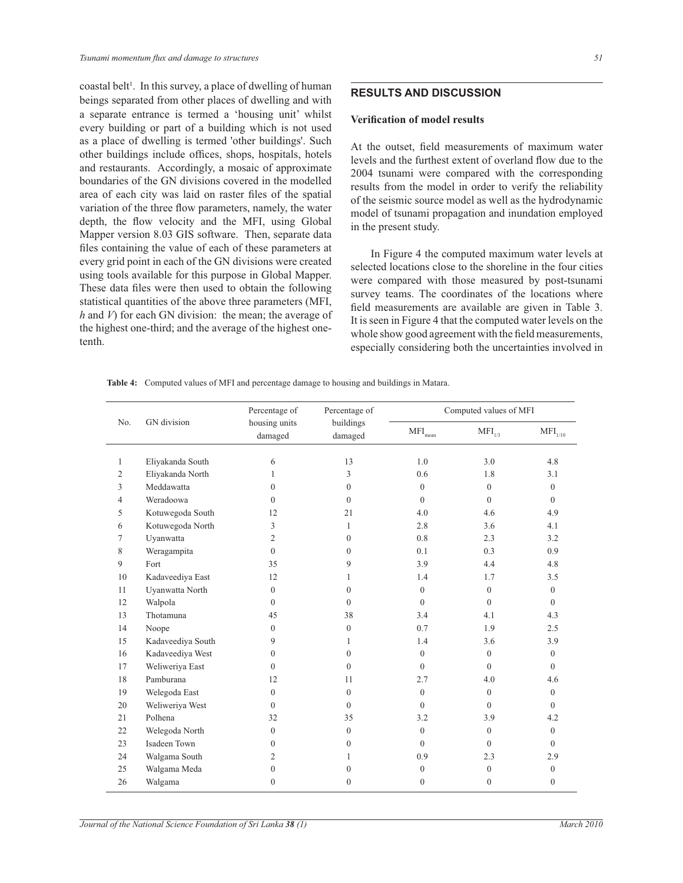coastal belt<sup>1</sup>. In this survey, a place of dwelling of human beings separated from other places of dwelling and with a separate entrance is termed a 'housing unit' whilst every building or part of a building which is not used as a place of dwelling is termed 'other buildings'. Such other buildings include offices, shops, hospitals, hotels and restaurants. Accordingly, a mosaic of approximate boundaries of the GN divisions covered in the modelled area of each city was laid on raster files of the spatial variation of the three flow parameters, namely, the water depth, the flow velocity and the MFI, using Global Mapper version 8.03 GIS software. Then, separate data files containing the value of each of these parameters at every grid point in each of the GN divisions were created using tools available for this purpose in Global Mapper. These data files were then used to obtain the following statistical quantities of the above three parameters (MFI, *h* and *V*) for each GN division: the mean; the average of the highest one-third; and the average of the highest onetenth.

# **RESULTS AND DISCUSSION**

#### **Verification of model results**

At the outset, field measurements of maximum water levels and the furthest extent of overland flow due to the 2004 tsunami were compared with the corresponding results from the model in order to verify the reliability of the seismic source model as well as the hydrodynamic model of tsunami propagation and inundation employed in the present study.

 In Figure 4 the computed maximum water levels at selected locations close to the shoreline in the four cities were compared with those measured by post-tsunami survey teams. The coordinates of the locations where field measurements are available are given in Table 3. It is seen in Figure 4 that the computed water levels on the whole show good agreement with the field measurements, especially considering both the uncertainties involved in

|                |                   | Percentage of            | Percentage of        | Computed values of MFI         |                    |                              |
|----------------|-------------------|--------------------------|----------------------|--------------------------------|--------------------|------------------------------|
| No.            | GN division       | housing units<br>damaged | buildings<br>damaged | $\mathrm{MFI}_{\mathrm{mean}}$ | MFI <sub>1/3</sub> | $\mathrm{MFI}_{\text{1/10}}$ |
| 1              | Eliyakanda South  | 6                        | 13                   | 1.0                            | 3.0                | 4.8                          |
| $\overline{2}$ | Eliyakanda North  | 1                        | $\overline{3}$       | 0.6                            | 1.8                | 3.1                          |
| 3              | Meddawatta        | $\Omega$                 | $\theta$             | $\mathbf{0}$                   | $\mathbf{0}$       | $\mathbf{0}$                 |
| 4              | Weradoowa         | $\Omega$                 | $\theta$             | $\theta$                       | $\Omega$           | $\theta$                     |
| 5              | Kotuwegoda South  | 12                       | 21                   | 4.0                            | 4.6                | 4.9                          |
| 6              | Kotuwegoda North  | 3                        | $\mathbf{1}$         | 2.8                            | 3.6                | 4.1                          |
| 7              | Uyanwatta         | 2                        | $\overline{0}$       | 0.8                            | 2.3                | 3.2                          |
| 8              | Weragampita       | $\Omega$                 | $\overline{0}$       | 0.1                            | 0.3                | 0.9                          |
| 9              | Fort              | 35                       | 9                    | 3.9                            | 4.4                | 4.8                          |
| 10             | Kadaveediya East  | 12                       | 1                    | 1.4                            | 1.7                | 3.5                          |
| 11             | Uyanwatta North   | $\mathbf{0}$             | $\mathbf{0}$         | $\mathbf{0}$                   | $\mathbf{0}$       | $\overline{0}$               |
| 12             | Walpola           | $\Omega$                 | $\theta$             | $\theta$                       | $\theta$           | $\theta$                     |
| 13             | Thotamuna         | 45                       | 38                   | 3.4                            | 4.1                | 4.3                          |
| 14             | Noope             | $\Omega$                 | $\mathbf{0}$         | 0.7                            | 1.9                | 2.5                          |
| 15             | Kadaveediya South | 9                        | 1                    | 1.4                            | 3.6                | 3.9                          |
| 16             | Kadaveediya West  | $\Omega$                 | $\Omega$             | $\theta$                       | $\theta$           | $\mathbf{0}$                 |
| 17             | Weliweriya East   | $\Omega$                 | $\theta$             | $\theta$                       | $\theta$           | $\theta$                     |
| 18             | Pamburana         | 12                       | 11                   | 2.7                            | 4.0                | 4.6                          |
| 19             | Welegoda East     | $\mathbf{0}$             | $\theta$             | $\mathbf{0}$                   | $\mathbf{0}$       | $\mathbf{0}$                 |
| 20             | Weliweriya West   | $\Omega$                 | $\theta$             | $\theta$                       | $\theta$           | $\theta$                     |
| 21             | Polhena           | 32                       | 35                   | 3.2                            | 3.9                | 4.2                          |
| 22             | Welegoda North    | $\overline{0}$           | $\mathbf{0}$         | $\mathbf{0}$                   | $\theta$           | $\theta$                     |
| 23             | Isadeen Town      | $\mathbf{0}$             | $\overline{0}$       | $\mathbf{0}$                   | $\theta$           | $\theta$                     |
| 24             | Walgama South     | 2                        | 1                    | 0.9                            | 2.3                | 2.9                          |
| 25             | Walgama Meda      | $\mathbf{0}$             | $\mathbf{0}$         | $\boldsymbol{0}$               | $\mathbf{0}$       | $\mathbf{0}$                 |
| 26             | Walgama           | $\mathbf{0}$             | $\mathbf{0}$         | $\mathbf{0}$                   | $\mathbf{0}$       | $\mathbf{0}$                 |

**Table 4:** Computed values of MFI and percentage damage to housing and buildings in Matara.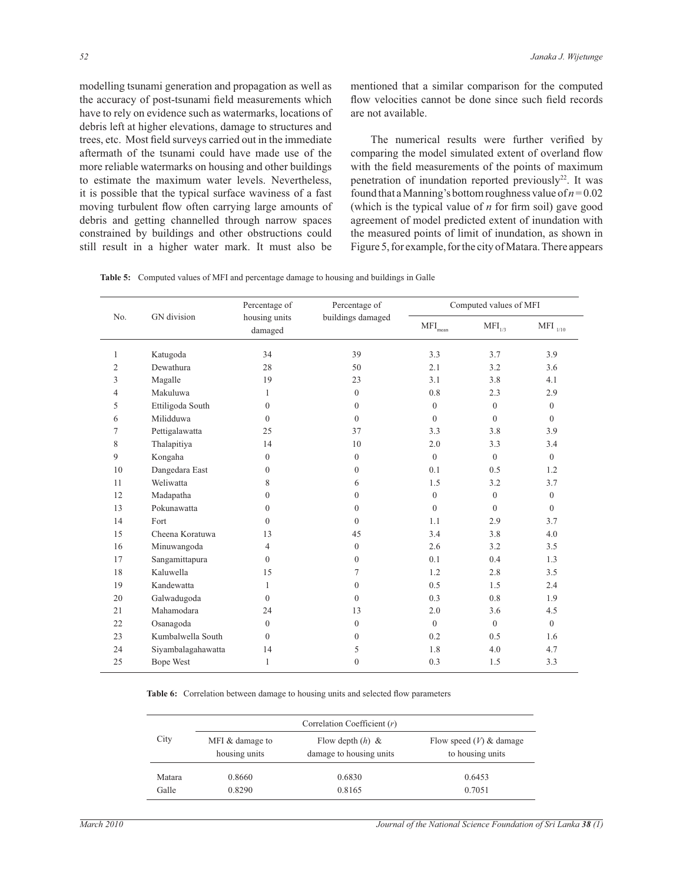modelling tsunami generation and propagation as well as the accuracy of post-tsunami field measurements which have to rely on evidence such as watermarks, locations of debris left at higher elevations, damage to structures and trees, etc. Most field surveys carried out in the immediate aftermath of the tsunami could have made use of the more reliable watermarks on housing and other buildings to estimate the maximum water levels. Nevertheless, it is possible that the typical surface waviness of a fast moving turbulent flow often carrying large amounts of debris and getting channelled through narrow spaces constrained by buildings and other obstructions could still result in a higher water mark. It must also be

mentioned that a similar comparison for the computed flow velocities cannot be done since such field records are not available.

 The numerical results were further verified by comparing the model simulated extent of overland flow with the field measurements of the points of maximum penetration of inundation reported previously<sup>22</sup>. It was found that a Manning's bottom roughness value of  $n = 0.02$ (which is the typical value of *n* for firm soil) gave good agreement of model predicted extent of inundation with the measured points of limit of inundation, as shown in Figure 5, for example, for the city of Matara. There appears

| <b>Table 5:</b> Computed values of MFI and percentage damage to housing and buildings in Galle |  |  |
|------------------------------------------------------------------------------------------------|--|--|

|                |                    | Percentage of            | Percentage of     | Computed values of MFI         |                |                      |
|----------------|--------------------|--------------------------|-------------------|--------------------------------|----------------|----------------------|
| No.            | GN division        | housing units<br>damaged | buildings damaged | $\mathrm{MFI}_{\mathrm{mean}}$ | $MFI_{1/3}$    | $\rm{MFI}$ $_{1/10}$ |
| $\mathbf{1}$   | Katugoda           | 34                       | 39                | 3.3                            | 3.7            | 3.9                  |
| 2              | <b>Dewathura</b>   | 28                       | 50                | 2.1                            | 3.2            | 3.6                  |
| 3              | Magalle            | 19                       | 23                | 3.1                            | 3.8            | 4.1                  |
| $\overline{4}$ | Makuluwa           | $\mathbf{1}$             | $\mathbf{0}$      | 0.8                            | 2.3            | 2.9                  |
| 5              | Ettiligoda South   | $\mathbf{0}$             | $\Omega$          | $\overline{0}$                 | $\overline{0}$ | $\mathbf{0}$         |
| 6              | Milidduwa          | $\theta$                 | $\Omega$          | $\theta$                       | $\Omega$       | $\theta$             |
| $\tau$         | Pettigalawatta     | 25                       | 37                | 3.3                            | 3.8            | 3.9                  |
| 8              | Thalapitiya        | 14                       | 10                | 2.0                            | 3.3            | 3.4                  |
| 9              | Kongaha            | $\theta$                 | $\Omega$          | $\theta$                       | $\theta$       | $\theta$             |
| 10             | Dangedara East     | $\mathbf{0}$             | $\Omega$          | 0.1                            | 0.5            | 1.2                  |
| 11             | Weliwatta          | 8                        | 6                 | 1.5                            | 3.2            | 3.7                  |
| 12             | Madapatha          | $\mathbf{0}$             | $\mathbf{0}$      | $\mathbf{0}$                   | $\overline{0}$ | $\mathbf{0}$         |
| 13             | Pokunawatta        | $\theta$                 | $\Omega$          | $\Omega$                       | $\Omega$       | $\theta$             |
| 14             | Fort               | $\theta$                 | $\Omega$          | 1.1                            | 2.9            | 3.7                  |
| 15             | Cheena Koratuwa    | 13                       | 45                | 3.4                            | 3.8            | 4.0                  |
| 16             | Minuwangoda        | $\overline{4}$           | $\overline{0}$    | 2.6                            | 3.2            | 3.5                  |
| 17             | Sangamittapura     | $\theta$                 | $\Omega$          | 0.1                            | 0.4            | 1.3                  |
| 18             | Kaluwella          | 15                       | 7                 | 1.2                            | 2.8            | 3.5                  |
| 19             | Kandewatta         | $\mathbf{1}$             | $\mathbf{0}$      | 0.5                            | 1.5            | 2.4                  |
| 20             | Galwadugoda        | $\theta$                 | $\Omega$          | 0.3                            | 0.8            | 1.9                  |
| 21             | Mahamodara         | 24                       | 13                | 2.0                            | 3.6            | 4.5                  |
| 22             | Osanagoda          | $\theta$                 | $\Omega$          | $\theta$                       | $\Omega$       | $\theta$             |
| 23             | Kumbalwella South  | $\theta$                 | $\theta$          | 0.2                            | 0.5            | 1.6                  |
| 24             | Siyambalagahawatta | 14                       | 5                 | 1.8                            | 4.0            | 4.7                  |
| 25             | Bope West          | $\mathbf{1}$             | $\mathbf{0}$      | 0.3                            | 1.5            | 3.3                  |

**Table 6:** Correlation between damage to housing units and selected flow parameters

|        | Correlation Coefficient $(r)$    |                                               |                                               |  |  |
|--------|----------------------------------|-----------------------------------------------|-----------------------------------------------|--|--|
| City   | MFI & damage to<br>housing units | Flow depth $(h)$ &<br>damage to housing units | Flow speed $(V)$ & damage<br>to housing units |  |  |
| Matara | 0.8660                           | 0.6830                                        | 0.6453                                        |  |  |
| Galle  | 0.8290                           | 0.8165                                        | 0.7051                                        |  |  |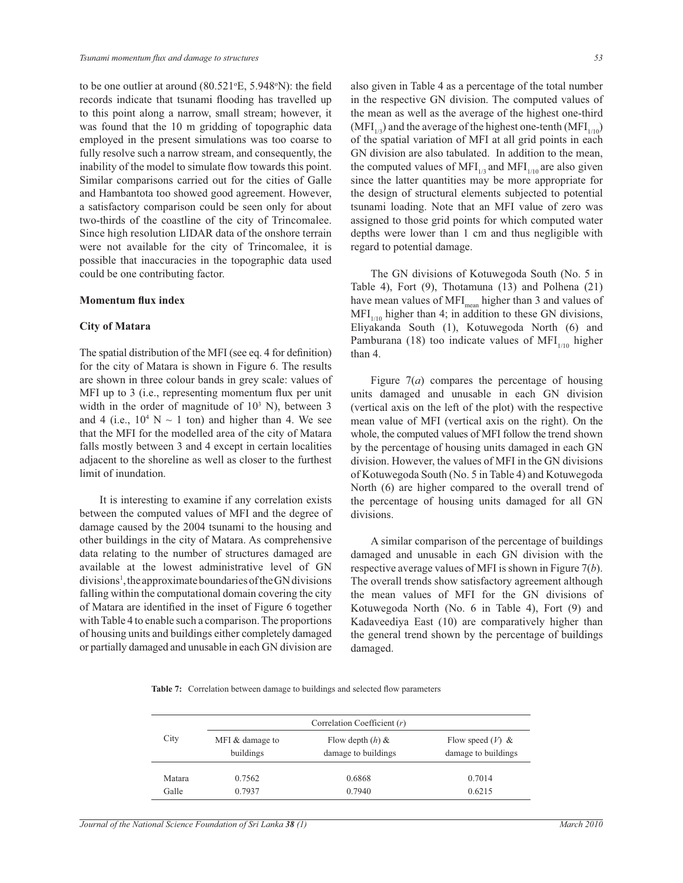to be one outlier at around  $(80.521 \text{°E}, 5.948 \text{°N})$ : the field records indicate that tsunami flooding has travelled up to this point along a narrow, small stream; however, it was found that the 10 m gridding of topographic data employed in the present simulations was too coarse to fully resolve such a narrow stream, and consequently, the inability of the model to simulate flow towards this point. Similar comparisons carried out for the cities of Galle and Hambantota too showed good agreement. However, a satisfactory comparison could be seen only for about two-thirds of the coastline of the city of Trincomalee. Since high resolution LIDAR data of the onshore terrain were not available for the city of Trincomalee, it is possible that inaccuracies in the topographic data used could be one contributing factor.

#### **Momentum flux index**

#### **City of Matara**

The spatial distribution of the MFI (see eq. 4 for definition) for the city of Matara is shown in Figure 6. The results are shown in three colour bands in grey scale: values of MFI up to 3 (i.e., representing momentum flux per unit width in the order of magnitude of  $10<sup>3</sup>$  N), between 3 and 4 (i.e.,  $10^4$  N  $\sim$  1 ton) and higher than 4. We see that the MFI for the modelled area of the city of Matara falls mostly between 3 and 4 except in certain localities adjacent to the shoreline as well as closer to the furthest limit of inundation.

 It is interesting to examine if any correlation exists between the computed values of MFI and the degree of damage caused by the 2004 tsunami to the housing and other buildings in the city of Matara. As comprehensive data relating to the number of structures damaged are available at the lowest administrative level of GN divisions<sup>1</sup>, the approximate boundaries of the GN divisions falling within the computational domain covering the city of Matara are identified in the inset of Figure 6 together with Table 4 to enable such a comparison. The proportions of housing units and buildings either completely damaged or partially damaged and unusable in each GN division are

also given in Table 4 as a percentage of the total number in the respective GN division. The computed values of the mean as well as the average of the highest one-third  $(MFI<sub>1/3</sub>)$  and the average of the highest one-tenth  $(MFI<sub>1/10</sub>)$ of the spatial variation of MFI at all grid points in each GN division are also tabulated. In addition to the mean, the computed values of MFI<sub>1/3</sub> and MFI<sub>1/10</sub> are also given since the latter quantities may be more appropriate for the design of structural elements subjected to potential tsunami loading. Note that an MFI value of zero was assigned to those grid points for which computed water depths were lower than 1 cm and thus negligible with regard to potential damage.

 The GN divisions of Kotuwegoda South (No. 5 in Table 4), Fort (9), Thotamuna (13) and Polhena (21) have mean values of MFI<sub>mean</sub> higher than 3 and values of  $MFI<sub>1/10</sub>$  higher than 4; in addition to these GN divisions, Eliyakanda South (1), Kotuwegoda North (6) and Pamburana (18) too indicate values of MFI<sub>1/10</sub> higher than 4.

 Figure 7(*a*) compares the percentage of housing units damaged and unusable in each GN division (vertical axis on the left of the plot) with the respective mean value of MFI (vertical axis on the right). On the whole, the computed values of MFI follow the trend shown by the percentage of housing units damaged in each GN division. However, the values of MFI in the GN divisions of Kotuwegoda South (No. 5 in Table 4) and Kotuwegoda North (6) are higher compared to the overall trend of the percentage of housing units damaged for all GN divisions.

 A similar comparison of the percentage of buildings damaged and unusable in each GN division with the respective average values of MFI is shown in Figure 7(*b*). The overall trends show satisfactory agreement although the mean values of MFI for the GN divisions of Kotuwegoda North (No. 6 in Table 4), Fort (9) and Kadaveediya East (10) are comparatively higher than the general trend shown by the percentage of buildings damaged.

**Table 7:** Correlation between damage to buildings and selected flow parameters

|        | Correlation Coefficient $(r)$ |                                           |                                           |  |  |
|--------|-------------------------------|-------------------------------------------|-------------------------------------------|--|--|
| City   | MFI & damage to<br>buildings  | Flow depth $(h)$ &<br>damage to buildings | Flow speed $(V)$ &<br>damage to buildings |  |  |
| Matara | 0.7562                        | 0.6868                                    | 0.7014                                    |  |  |
| Galle  | 0.7937                        | 0.7940                                    | 0.6215                                    |  |  |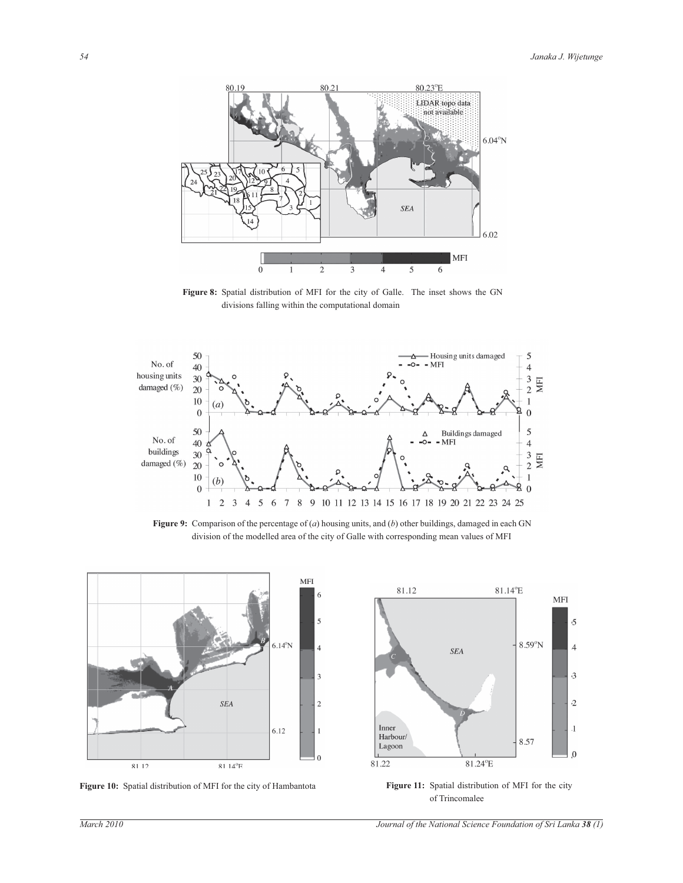

**Figure 8:** Spatial distribution of MFI for the city of Galle. The inset shows the GN divisions falling within the computational domain



**Figure 9:** Comparison of the percentage of (*a*) housing units, and (*b*) other buildings, damaged in each GN division of the modelled area of the city of Galle with corresponding mean values of MFI



**Figure 10:** Spatial distribution of MFI for the city of Hambantota **Figure 11:** Spatial distribution of MFI for the city



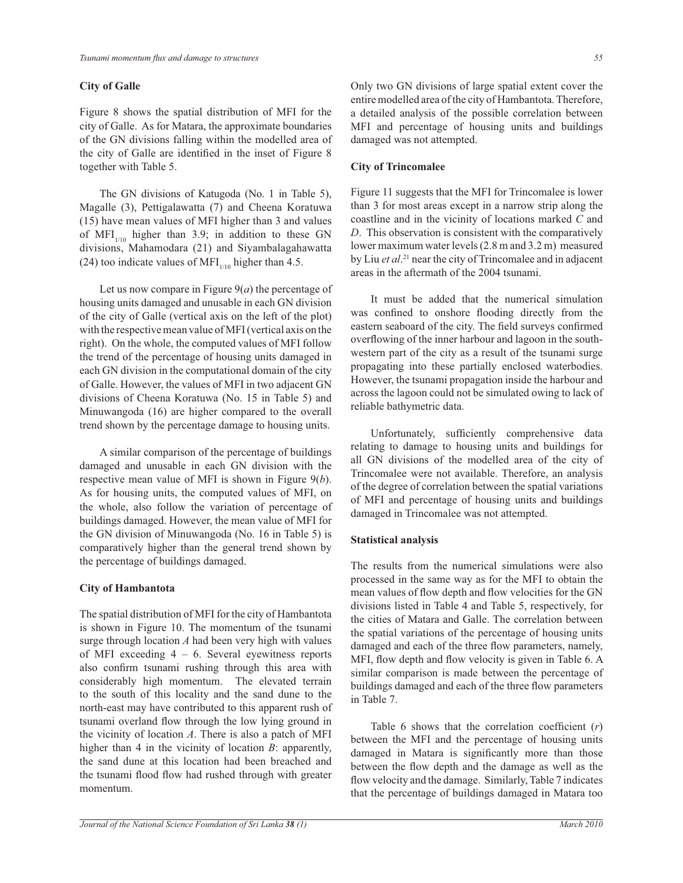# **City of Galle**

Figure 8 shows the spatial distribution of MFI for the city of Galle. As for Matara, the approximate boundaries of the GN divisions falling within the modelled area of the city of Galle are identified in the inset of Figure 8 together with Table 5.

 The GN divisions of Katugoda (No. 1 in Table 5), Magalle (3), Pettigalawatta (7) and Cheena Koratuwa (15) have mean values of MFI higher than 3 and values of MFI<sub>1/10</sub> higher than 3.9; in addition to these GN divisions, Mahamodara (21) and Siyambalagahawatta (24) too indicate values of MFI $_{1/10}$  higher than 4.5.

Let us now compare in Figure  $9(a)$  the percentage of housing units damaged and unusable in each GN division of the city of Galle (vertical axis on the left of the plot) with the respective mean value of MFI (vertical axis on the right). On the whole, the computed values of MFI follow the trend of the percentage of housing units damaged in each GN division in the computational domain of the city of Galle. However, the values of MFI in two adjacent GN divisions of Cheena Koratuwa (No. 15 in Table 5) and Minuwangoda (16) are higher compared to the overall trend shown by the percentage damage to housing units.

 A similar comparison of the percentage of buildings damaged and unusable in each GN division with the respective mean value of MFI is shown in Figure 9(*b*). As for housing units, the computed values of MFI, on the whole, also follow the variation of percentage of buildings damaged. However, the mean value of MFI for the GN division of Minuwangoda (No. 16 in Table 5) is comparatively higher than the general trend shown by the percentage of buildings damaged.

# **City of Hambantota**

The spatial distribution of MFI for the city of Hambantota is shown in Figure 10. The momentum of the tsunami surge through location *A* had been very high with values of MFI exceeding  $4 - 6$ . Several eyewitness reports also confirm tsunami rushing through this area with considerably high momentum. The elevated terrain to the south of this locality and the sand dune to the north-east may have contributed to this apparent rush of tsunami overland flow through the low lying ground in the vicinity of location *A*. There is also a patch of MFI higher than 4 in the vicinity of location *B*: apparently, the sand dune at this location had been breached and the tsunami flood flow had rushed through with greater momentum.

Only two GN divisions of large spatial extent cover the entire modelled area of the city of Hambantota. Therefore, a detailed analysis of the possible correlation between MFI and percentage of housing units and buildings damaged was not attempted.

#### **City of Trincomalee**

Figure 11 suggests that the MFI for Trincomalee is lower than 3 for most areas except in a narrow strip along the coastline and in the vicinity of locations marked *C* and *D*. This observation is consistent with the comparatively lower maximum water levels (2.8 m and 3.2 m) measured by Liu *et al*. <sup>21</sup> near the city of Trincomalee and in adjacent areas in the aftermath of the 2004 tsunami.

 It must be added that the numerical simulation was confined to onshore flooding directly from the eastern seaboard of the city. The field surveys confirmed overflowing of the inner harbour and lagoon in the southwestern part of the city as a result of the tsunami surge propagating into these partially enclosed waterbodies. However, the tsunami propagation inside the harbour and across the lagoon could not be simulated owing to lack of reliable bathymetric data.

 Unfortunately, sufficiently comprehensive data relating to damage to housing units and buildings for all GN divisions of the modelled area of the city of Trincomalee were not available. Therefore, an analysis of the degree of correlation between the spatial variations of MFI and percentage of housing units and buildings damaged in Trincomalee was not attempted.

# **Statistical analysis**

The results from the numerical simulations were also processed in the same way as for the MFI to obtain the mean values of flow depth and flow velocities for the GN divisions listed in Table 4 and Table 5, respectively, for the cities of Matara and Galle. The correlation between the spatial variations of the percentage of housing units damaged and each of the three flow parameters, namely, MFI, flow depth and flow velocity is given in Table 6. A similar comparison is made between the percentage of buildings damaged and each of the three flow parameters in Table 7.

 Table 6 shows that the correlation coefficient (*r*) between the MFI and the percentage of housing units damaged in Matara is significantly more than those between the flow depth and the damage as well as the flow velocity and the damage. Similarly, Table 7 indicates that the percentage of buildings damaged in Matara too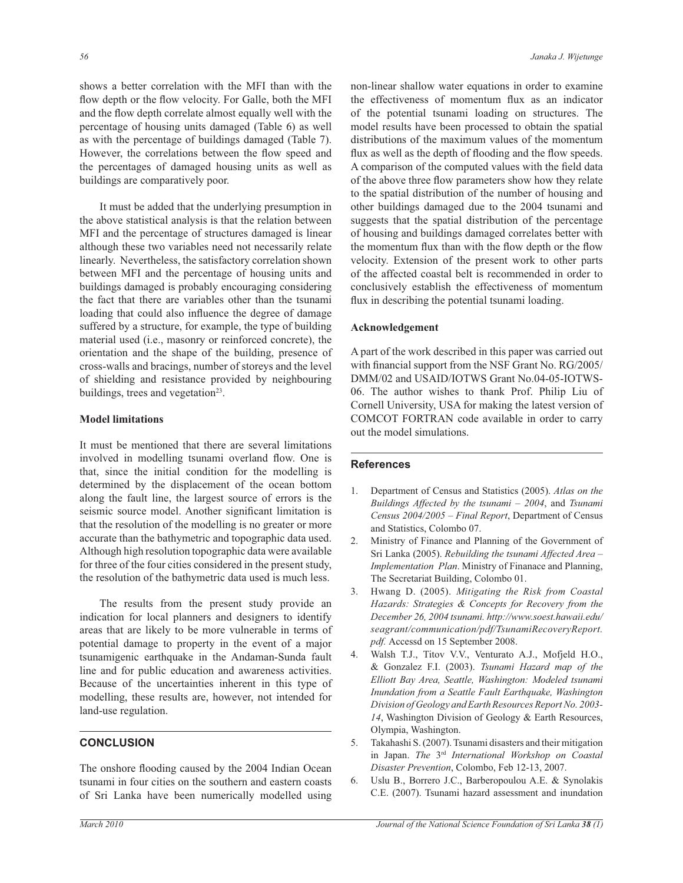shows a better correlation with the MFI than with the flow depth or the flow velocity. For Galle, both the MFI and the flow depth correlate almost equally well with the percentage of housing units damaged (Table 6) as well as with the percentage of buildings damaged (Table 7). However, the correlations between the flow speed and the percentages of damaged housing units as well as buildings are comparatively poor.

 It must be added that the underlying presumption in the above statistical analysis is that the relation between MFI and the percentage of structures damaged is linear although these two variables need not necessarily relate linearly. Nevertheless, the satisfactory correlation shown between MFI and the percentage of housing units and buildings damaged is probably encouraging considering the fact that there are variables other than the tsunami loading that could also influence the degree of damage suffered by a structure, for example, the type of building material used (i.e., masonry or reinforced concrete), the orientation and the shape of the building, presence of cross-walls and bracings, number of storeys and the level of shielding and resistance provided by neighbouring buildings, trees and vegetation<sup>23</sup>.

#### **Model limitations**

It must be mentioned that there are several limitations involved in modelling tsunami overland flow. One is that, since the initial condition for the modelling is determined by the displacement of the ocean bottom along the fault line, the largest source of errors is the seismic source model. Another significant limitation is that the resolution of the modelling is no greater or more accurate than the bathymetric and topographic data used. Although high resolution topographic data were available for three of the four cities considered in the present study, the resolution of the bathymetric data used is much less.

 The results from the present study provide an indication for local planners and designers to identify areas that are likely to be more vulnerable in terms of potential damage to property in the event of a major tsunamigenic earthquake in the Andaman-Sunda fault line and for public education and awareness activities. Because of the uncertainties inherent in this type of modelling, these results are, however, not intended for land-use regulation.

# **CONCLUSION**

The onshore flooding caused by the 2004 Indian Ocean tsunami in four cities on the southern and eastern coasts of Sri Lanka have been numerically modelled using non-linear shallow water equations in order to examine the effectiveness of momentum flux as an indicator of the potential tsunami loading on structures. The model results have been processed to obtain the spatial distributions of the maximum values of the momentum flux as well as the depth of flooding and the flow speeds. A comparison of the computed values with the field data of the above three flow parameters show how they relate to the spatial distribution of the number of housing and other buildings damaged due to the 2004 tsunami and suggests that the spatial distribution of the percentage of housing and buildings damaged correlates better with the momentum flux than with the flow depth or the flow velocity. Extension of the present work to other parts of the affected coastal belt is recommended in order to conclusively establish the effectiveness of momentum flux in describing the potential tsunami loading.

#### **Acknowledgement**

A part of the work described in this paper was carried out with financial support from the NSF Grant No. RG/2005/ DMM/02 and USAID/IOTWS Grant No.04-05-IOTWS-06. The author wishes to thank Prof. Philip Liu of Cornell University, USA for making the latest version of COMCOT FORTRAN code available in order to carry out the model simulations.

#### **References**

- 1. Department of Census and Statistics (2005). *Atlas on the Buildings Affected by the tsunami – 2004*, and *Tsunami Census 2004/2005 – Final Report*, Department of Census and Statistics, Colombo 07.
- 2. Ministry of Finance and Planning of the Government of Sri Lanka (2005). *Rebuilding the tsunami Affected Area – Implementation Plan*. Ministry of Finanace and Planning, The Secretariat Building, Colombo 01.
- 3. Hwang D. (2005). *Mitigating the Risk from Coastal Hazards: Strategies & Concepts for Recovery from the December 26, 2004 tsunami. http://www.soest.hawaii.edu/ seagrant/communication/pdf/TsunamiRecoveryReport.* pdf. Accessd on 15 September 2008.
- 4. Walsh T.J., Titov V.V., Venturato A.J., Mofjeld H.O., & Gonzalez F.I. (2003). *Tsunami Hazard map of the Elliott Bay Area, Seattle, Washington: Modeled tsunami Inundation from a Seattle Fault Earthquake, Washington Division of Geology and Earth Resources Report No. 2003- 14*, Washington Division of Geology & Earth Resources, Olympia, Washington.
- 5. Takahashi S. (2007). Tsunami disasters and their mitigation in Japan. *The* 3rd *International Workshop on Coastal Disaster Prevention*, Colombo, Feb 12-13, 2007.
- 6. Uslu B., Borrero J.C., Barberopoulou A.E. & Synolakis C.E. (2007). Tsunami hazard assessment and inundation